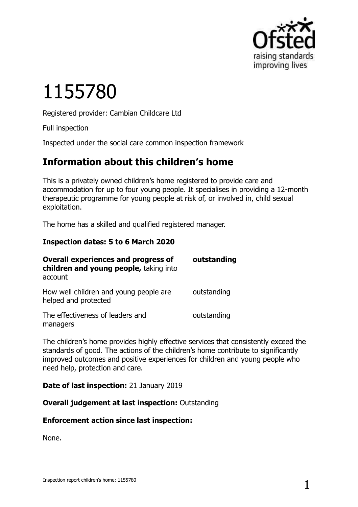

# 1155780

Registered provider: Cambian Childcare Ltd

Full inspection

Inspected under the social care common inspection framework

## **Information about this children's home**

This is a privately owned children's home registered to provide care and accommodation for up to four young people. It specialises in providing a 12-month therapeutic programme for young people at risk of, or involved in, child sexual exploitation.

The home has a skilled and qualified registered manager.

#### **Inspection dates: 5 to 6 March 2020**

| <b>Overall experiences and progress of</b><br>children and young people, taking into<br>account | outstanding |
|-------------------------------------------------------------------------------------------------|-------------|
| How well children and young people are<br>helped and protected                                  | outstanding |
| The effectiveness of leaders and<br>managers                                                    | outstanding |

The children's home provides highly effective services that consistently exceed the standards of good. The actions of the children's home contribute to significantly improved outcomes and positive experiences for children and young people who need help, protection and care.

**Date of last inspection:** 21 January 2019

**Overall judgement at last inspection:** Outstanding

#### **Enforcement action since last inspection:**

None.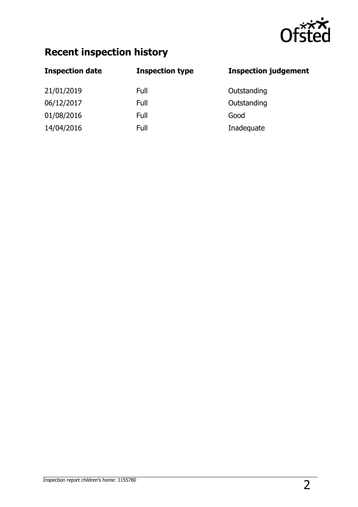

## **Recent inspection history**

| <b>Inspection date</b> | <b>Inspection type</b> | <b>Inspection judgement</b> |
|------------------------|------------------------|-----------------------------|
| 21/01/2019             | Full                   | Outstanding                 |
| 06/12/2017             | Full                   | Outstanding                 |
| 01/08/2016             | Full                   | Good                        |
| 14/04/2016             | Full                   | Inadequate                  |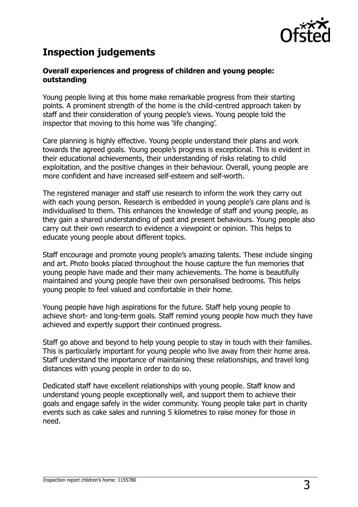

## **Inspection judgements**

#### **Overall experiences and progress of children and young people: outstanding**

Young people living at this home make remarkable progress from their starting points. A prominent strength of the home is the child-centred approach taken by staff and their consideration of young people's views. Young people told the inspector that moving to this home was 'life changing'.

Care planning is highly effective. Young people understand their plans and work towards the agreed goals. Young people's progress is exceptional. This is evident in their educational achievements, their understanding of risks relating to child exploitation, and the positive changes in their behaviour. Overall, young people are more confident and have increased self-esteem and self-worth.

The registered manager and staff use research to inform the work they carry out with each young person. Research is embedded in young people's care plans and is individualised to them. This enhances the knowledge of staff and young people, as they gain a shared understanding of past and present behaviours. Young people also carry out their own research to evidence a viewpoint or opinion. This helps to educate young people about different topics.

Staff encourage and promote young people's amazing talents. These include singing and art. Photo books placed throughout the house capture the fun memories that young people have made and their many achievements. The home is beautifully maintained and young people have their own personalised bedrooms. This helps young people to feel valued and comfortable in their home.

Young people have high aspirations for the future. Staff help young people to achieve short- and long-term goals. Staff remind young people how much they have achieved and expertly support their continued progress.

Staff go above and beyond to help young people to stay in touch with their families. This is particularly important for young people who live away from their home area. Staff understand the importance of maintaining these relationships, and travel long distances with young people in order to do so.

Dedicated staff have excellent relationships with young people. Staff know and understand young people exceptionally well, and support them to achieve their goals and engage safely in the wider community. Young people take part in charity events such as cake sales and running 5 kilometres to raise money for those in need.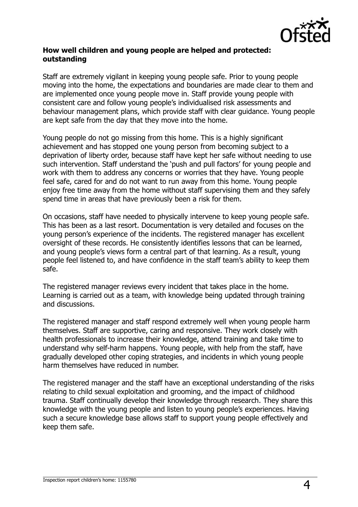

#### **How well children and young people are helped and protected: outstanding**

Staff are extremely vigilant in keeping young people safe. Prior to young people moving into the home, the expectations and boundaries are made clear to them and are implemented once young people move in. Staff provide young people with consistent care and follow young people's individualised risk assessments and behaviour management plans, which provide staff with clear guidance. Young people are kept safe from the day that they move into the home.

Young people do not go missing from this home. This is a highly significant achievement and has stopped one young person from becoming subject to a deprivation of liberty order, because staff have kept her safe without needing to use such intervention. Staff understand the 'push and pull factors' for young people and work with them to address any concerns or worries that they have. Young people feel safe, cared for and do not want to run away from this home. Young people enjoy free time away from the home without staff supervising them and they safely spend time in areas that have previously been a risk for them.

On occasions, staff have needed to physically intervene to keep young people safe. This has been as a last resort. Documentation is very detailed and focuses on the young person's experience of the incidents. The registered manager has excellent oversight of these records. He consistently identifies lessons that can be learned, and young people's views form a central part of that learning. As a result, young people feel listened to, and have confidence in the staff team's ability to keep them safe.

The registered manager reviews every incident that takes place in the home. Learning is carried out as a team, with knowledge being updated through training and discussions.

The registered manager and staff respond extremely well when young people harm themselves. Staff are supportive, caring and responsive. They work closely with health professionals to increase their knowledge, attend training and take time to understand why self-harm happens. Young people, with help from the staff, have gradually developed other coping strategies, and incidents in which young people harm themselves have reduced in number.

The registered manager and the staff have an exceptional understanding of the risks relating to child sexual exploitation and grooming, and the impact of childhood trauma. Staff continually develop their knowledge through research. They share this knowledge with the young people and listen to young people's experiences. Having such a secure knowledge base allows staff to support young people effectively and keep them safe.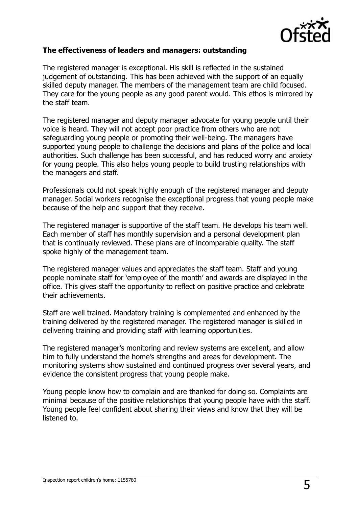

#### **The effectiveness of leaders and managers: outstanding**

The registered manager is exceptional. His skill is reflected in the sustained judgement of outstanding. This has been achieved with the support of an equally skilled deputy manager. The members of the management team are child focused. They care for the young people as any good parent would. This ethos is mirrored by the staff team.

The registered manager and deputy manager advocate for young people until their voice is heard. They will not accept poor practice from others who are not safeguarding young people or promoting their well-being. The managers have supported young people to challenge the decisions and plans of the police and local authorities. Such challenge has been successful, and has reduced worry and anxiety for young people. This also helps young people to build trusting relationships with the managers and staff.

Professionals could not speak highly enough of the registered manager and deputy manager. Social workers recognise the exceptional progress that young people make because of the help and support that they receive.

The registered manager is supportive of the staff team. He develops his team well. Each member of staff has monthly supervision and a personal development plan that is continually reviewed. These plans are of incomparable quality. The staff spoke highly of the management team.

The registered manager values and appreciates the staff team. Staff and young people nominate staff for 'employee of the month' and awards are displayed in the office. This gives staff the opportunity to reflect on positive practice and celebrate their achievements.

Staff are well trained. Mandatory training is complemented and enhanced by the training delivered by the registered manager. The registered manager is skilled in delivering training and providing staff with learning opportunities.

The registered manager's monitoring and review systems are excellent, and allow him to fully understand the home's strengths and areas for development. The monitoring systems show sustained and continued progress over several years, and evidence the consistent progress that young people make.

Young people know how to complain and are thanked for doing so. Complaints are minimal because of the positive relationships that young people have with the staff. Young people feel confident about sharing their views and know that they will be listened to.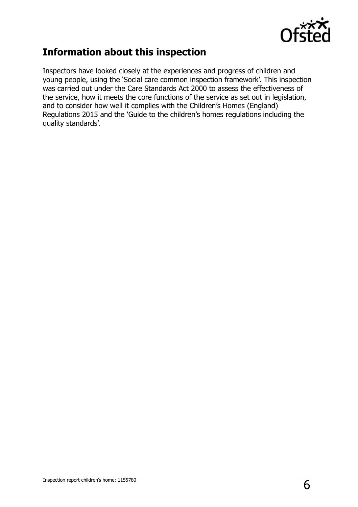

## **Information about this inspection**

Inspectors have looked closely at the experiences and progress of children and young people, using the 'Social care common inspection framework'. This inspection was carried out under the Care Standards Act 2000 to assess the effectiveness of the service, how it meets the core functions of the service as set out in legislation, and to consider how well it complies with the Children's Homes (England) Regulations 2015 and the 'Guide to the children's homes regulations including the quality standards'.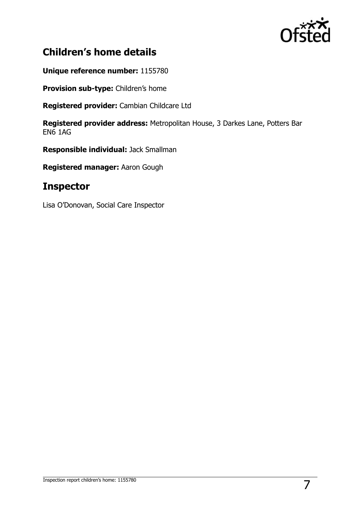

## **Children's home details**

**Unique reference number:** 1155780

**Provision sub-type:** Children's home

**Registered provider:** Cambian Childcare Ltd

**Registered provider address:** Metropolitan House, 3 Darkes Lane, Potters Bar EN6 1AG

**Responsible individual:** Jack Smallman

**Registered manager:** Aaron Gough

### **Inspector**

Lisa O'Donovan, Social Care Inspector